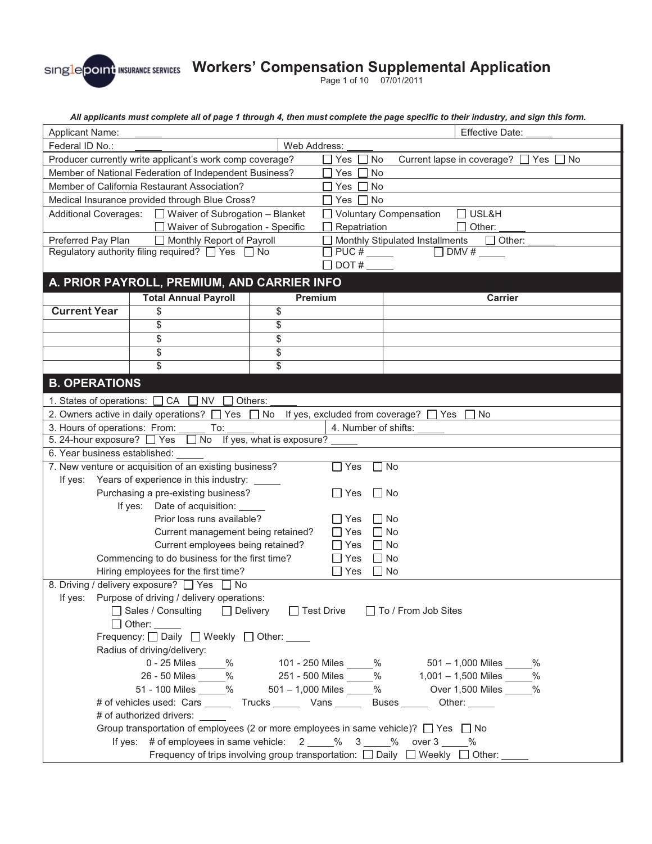Page 1 of 10 07/01/2011

*All applicants must complete all of page 1 through 4, then must complete the page specific to their industry, and sign this form.* 

| <b>Applicant Name:</b>                                                                                                 |                                                                                                                 |                         |                                  |                                                  | <b>Effective Date:</b>                                                 |
|------------------------------------------------------------------------------------------------------------------------|-----------------------------------------------------------------------------------------------------------------|-------------------------|----------------------------------|--------------------------------------------------|------------------------------------------------------------------------|
| Federal ID No.:                                                                                                        | Web Address:                                                                                                    |                         |                                  |                                                  |                                                                        |
| Producer currently write applicant's work comp coverage?                                                               |                                                                                                                 | Yes $\Box$              | No                               | Current lapse in coverage? □ Yes □ No            |                                                                        |
| Member of National Federation of Independent Business?                                                                 |                                                                                                                 | Yes [<br>$\blacksquare$ | <b>No</b>                        |                                                  |                                                                        |
|                                                                                                                        | Member of California Restaurant Association?                                                                    |                         | Yes $\Box$                       | <b>No</b>                                        |                                                                        |
| Medical Insurance provided through Blue Cross?                                                                         |                                                                                                                 | $\sqcap$ Yes $\sqcap$   | <b>No</b>                        |                                                  |                                                                        |
| Additional Coverages: □ Waiver of Subrogation - Blanket                                                                |                                                                                                                 |                         |                                  | □ Voluntary Compensation<br>$\Box$ USL&H         |                                                                        |
| □ Waiver of Subrogation - Specific                                                                                     |                                                                                                                 | $\Box$ Repatriation     |                                  | Other:                                           |                                                                        |
| Preferred Pay Plan<br>Monthly Report of Payroll                                                                        |                                                                                                                 |                         |                                  | Monthly Stipulated Installments<br>$\Box$ Other: |                                                                        |
|                                                                                                                        | Regulatory authority filing required? $\Box$ Yes $\Box$ No                                                      |                         | $\Box$ PUC # $\_\_\_\_\_\_\_\_\$ |                                                  | $DMV \#$                                                               |
|                                                                                                                        |                                                                                                                 |                         | $\Box$ DOT #                     |                                                  |                                                                        |
|                                                                                                                        | A. PRIOR PAYROLL, PREMIUM, AND CARRIER INFO                                                                     |                         |                                  |                                                  |                                                                        |
|                                                                                                                        | <b>Total Annual Payroll</b>                                                                                     | <b>Premium</b>          |                                  |                                                  | <b>Carrier</b>                                                         |
| <b>Current Year</b>                                                                                                    | \$                                                                                                              | \$                      |                                  |                                                  |                                                                        |
|                                                                                                                        | \$                                                                                                              | \$                      |                                  |                                                  |                                                                        |
|                                                                                                                        | \$                                                                                                              | \$                      |                                  |                                                  |                                                                        |
|                                                                                                                        | \$                                                                                                              | \$                      |                                  |                                                  |                                                                        |
|                                                                                                                        | $\overline{\mathbb{s}}$                                                                                         | $\overline{\$}$         |                                  |                                                  |                                                                        |
|                                                                                                                        |                                                                                                                 |                         |                                  |                                                  |                                                                        |
| <b>B. OPERATIONS</b>                                                                                                   |                                                                                                                 |                         |                                  |                                                  |                                                                        |
|                                                                                                                        | 1. States of operations: $\Box$ CA $\Box$ NV $\Box$ Others:                                                     |                         |                                  |                                                  |                                                                        |
|                                                                                                                        | 2. Owners active in daily operations? $\Box$ Yes $\Box$ No If yes, excluded from coverage? $\Box$ Yes $\Box$ No |                         |                                  |                                                  |                                                                        |
| 3. Hours of operations: From:                                                                                          | To:                                                                                                             |                         | 4. Number of shifts:             |                                                  |                                                                        |
|                                                                                                                        | 5. 24-hour exposure? Ves No If yes, what is exposure?                                                           |                         |                                  |                                                  |                                                                        |
| 6. Year business established:                                                                                          |                                                                                                                 |                         |                                  |                                                  |                                                                        |
|                                                                                                                        | 7. New venture or acquisition of an existing business?                                                          |                         | Yes                              | $\Box$ No                                        |                                                                        |
|                                                                                                                        | If yes: Years of experience in this industry: _____                                                             |                         |                                  |                                                  |                                                                        |
|                                                                                                                        | Purchasing a pre-existing business?                                                                             |                         | □ Yes                            | l I No                                           |                                                                        |
|                                                                                                                        | If yes: Date of acquisition:                                                                                    |                         |                                  |                                                  |                                                                        |
|                                                                                                                        | Prior loss runs available?                                                                                      |                         | $\Box$ Yes                       | $\Box$ No                                        |                                                                        |
|                                                                                                                        | Current management being retained?                                                                              |                         | $\Box$ Yes                       | $\Box$ No                                        |                                                                        |
|                                                                                                                        | Current employees being retained?                                                                               |                         | Yes                              | $\Box$ No                                        |                                                                        |
| Commencing to do business for the first time?<br>Yes<br>$\Box$ No<br>Hiring employees for the first time?<br>$\Box$ No |                                                                                                                 |                         |                                  |                                                  |                                                                        |
|                                                                                                                        | 8. Driving / delivery exposure? □ Yes □ No                                                                      |                         | Yes                              |                                                  |                                                                        |
| If yes:                                                                                                                | Purpose of driving / delivery operations:                                                                       |                         |                                  |                                                  |                                                                        |
|                                                                                                                        | □ Sales / Consulting □ Delivery                                                                                 |                         | □ Test Drive                     |                                                  | □ To / From Job Sites                                                  |
|                                                                                                                        | $\Box$ Other: $\_\_\_\_\_\_\_\_\$                                                                               |                         |                                  |                                                  |                                                                        |
| Frequency: Daily DWeekly DOther: ____                                                                                  |                                                                                                                 |                         |                                  |                                                  |                                                                        |
| Radius of driving/delivery:                                                                                            |                                                                                                                 |                         |                                  |                                                  |                                                                        |
| 0 - 25 Miles _____ %<br>101 - 250 Miles _____% 501 – 1,000 Miles _____%                                                |                                                                                                                 |                         |                                  |                                                  |                                                                        |
| 26 - 50 Miles _____% 251 - 500 Miles _____% 1,001 - 1,500 Miles _____%                                                 |                                                                                                                 |                         |                                  |                                                  |                                                                        |
|                                                                                                                        |                                                                                                                 |                         |                                  |                                                  | 51 - 100 Miles _____% 501 - 1,000 Miles _____% Over 1,500 Miles _____% |
| # of vehicles used: Cars _______ Trucks _______ Vans _______ Buses _______ Other: _____                                |                                                                                                                 |                         |                                  |                                                  |                                                                        |
| # of authorized drivers: _____                                                                                         |                                                                                                                 |                         |                                  |                                                  |                                                                        |
| Group transportation of employees (2 or more employees in same vehicle)? $\Box$ Yes $\Box$ No                          |                                                                                                                 |                         |                                  |                                                  |                                                                        |
| If yes: # of employees in same vehicle: $2 \t 2 \t 0$ 3 $\t 0$ over 3 $\t 0$                                           |                                                                                                                 |                         |                                  |                                                  |                                                                        |
| Frequency of trips involving group transportation: $\Box$ Daily $\Box$ Weekly $\Box$ Other:                            |                                                                                                                 |                         |                                  |                                                  |                                                                        |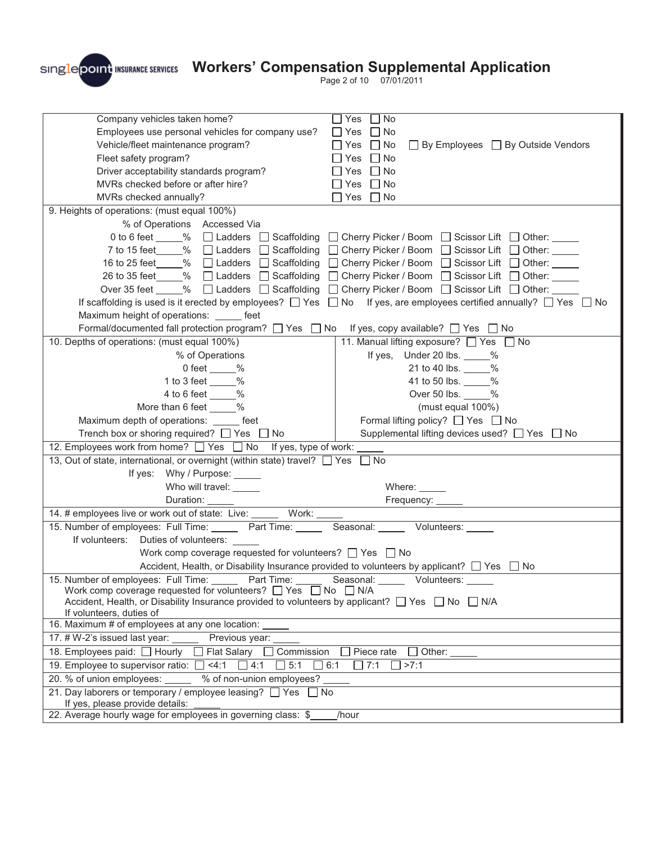

Page 2 of 10 07/01/2011

| Company vehicles taken home?<br>Employees use personal vehicles for company use?<br>Vehicle/fleet maintenance program?<br>Fleet safety program?<br>Driver acceptability standards program?<br>MVRs checked before or after hire?<br>MVRs checked annually?                                                        | Yes<br>$\Box$ No<br>$\Box$ Yes<br>I No<br>$\Box$ By Employees $\Box$ By Outside Vendors<br>$\Box$ Yes<br>$\Box$ No<br>$\Box$ No<br>Yes<br>$\Box$ No<br>Yes<br>$\Box$ No<br>Yes<br>Yes<br>$\Box$ No                                                                                                                                                                                                                                                                                                                                                                                                                                                                            |  |  |  |
|-------------------------------------------------------------------------------------------------------------------------------------------------------------------------------------------------------------------------------------------------------------------------------------------------------------------|-------------------------------------------------------------------------------------------------------------------------------------------------------------------------------------------------------------------------------------------------------------------------------------------------------------------------------------------------------------------------------------------------------------------------------------------------------------------------------------------------------------------------------------------------------------------------------------------------------------------------------------------------------------------------------|--|--|--|
|                                                                                                                                                                                                                                                                                                                   |                                                                                                                                                                                                                                                                                                                                                                                                                                                                                                                                                                                                                                                                               |  |  |  |
| 9. Heights of operations: (must equal 100%)                                                                                                                                                                                                                                                                       |                                                                                                                                                                                                                                                                                                                                                                                                                                                                                                                                                                                                                                                                               |  |  |  |
| % of Operations Accessed Via<br>Maximum height of operations: ______ feet                                                                                                                                                                                                                                         | 0 to 6 feet _____% □ Ladders □ Scaffolding □ Cherry Picker / Boom □ Scissor Lift □ Other: ____<br>7 to 15 feet 6 % D Ladders D Scaffolding D Cherry Picker / Boom D Scissor Lift D Other: <u>O Scissor Lift D</u> Other:<br>16 to 25 feet ____% □ Ladders □ Scaffolding □ Cherry Picker / Boom □ Scissor Lift □ Other: ____<br>26 to 35 feet 6 % D Ladders Scaffolding D Cherry Picker / Boom S Scissor Lift D Other: <u>2000</u><br>Over 35 feet ____% □ Ladders □ Scaffolding □ Cherry Picker / Boom □ Scissor Lift □ Other: ____<br>If scaffolding is used is it erected by employees? $\Box$ Yes $\Box$ No If yes, are employees certified annually? $\Box$ Yes $\Box$ No |  |  |  |
| Formal/documented fall protection program? □ Yes □ No                                                                                                                                                                                                                                                             | If yes, copy available? □ Yes □ No                                                                                                                                                                                                                                                                                                                                                                                                                                                                                                                                                                                                                                            |  |  |  |
| 10. Depths of operations: (must equal 100%)                                                                                                                                                                                                                                                                       | 11. Manual lifting exposure? □ Yes □ No                                                                                                                                                                                                                                                                                                                                                                                                                                                                                                                                                                                                                                       |  |  |  |
| % of Operations                                                                                                                                                                                                                                                                                                   | If yes, Under 20 lbs. %                                                                                                                                                                                                                                                                                                                                                                                                                                                                                                                                                                                                                                                       |  |  |  |
| 0 feet $\_\_\%$                                                                                                                                                                                                                                                                                                   | 21 to 40 lbs. _____%                                                                                                                                                                                                                                                                                                                                                                                                                                                                                                                                                                                                                                                          |  |  |  |
| 1 to 3 feet $\_\_\_\%$                                                                                                                                                                                                                                                                                            | 41 to 50 lbs. _____%                                                                                                                                                                                                                                                                                                                                                                                                                                                                                                                                                                                                                                                          |  |  |  |
| 4 to 6 feet _____%                                                                                                                                                                                                                                                                                                | Over 50 lbs. _____%                                                                                                                                                                                                                                                                                                                                                                                                                                                                                                                                                                                                                                                           |  |  |  |
| More than 6 feet _____%                                                                                                                                                                                                                                                                                           | (must equal 100%)                                                                                                                                                                                                                                                                                                                                                                                                                                                                                                                                                                                                                                                             |  |  |  |
| Maximum depth of operations: _____ feet                                                                                                                                                                                                                                                                           | Formal lifting policy? □ Yes □ No                                                                                                                                                                                                                                                                                                                                                                                                                                                                                                                                                                                                                                             |  |  |  |
| Trench box or shoring required? $\Box$ Yes $\Box$ No                                                                                                                                                                                                                                                              | Supplemental lifting devices used? □ Yes □ No                                                                                                                                                                                                                                                                                                                                                                                                                                                                                                                                                                                                                                 |  |  |  |
| 12. Employees work from home? □ Yes □ No If yes, type of work:                                                                                                                                                                                                                                                    |                                                                                                                                                                                                                                                                                                                                                                                                                                                                                                                                                                                                                                                                               |  |  |  |
| 13, Out of state, international, or overnight (within state) travel? Thes                                                                                                                                                                                                                                         | □ No                                                                                                                                                                                                                                                                                                                                                                                                                                                                                                                                                                                                                                                                          |  |  |  |
| If yes: Why / Purpose: _____                                                                                                                                                                                                                                                                                      |                                                                                                                                                                                                                                                                                                                                                                                                                                                                                                                                                                                                                                                                               |  |  |  |
| Who will travel: _____                                                                                                                                                                                                                                                                                            | Where: $\_\_$                                                                                                                                                                                                                                                                                                                                                                                                                                                                                                                                                                                                                                                                 |  |  |  |
| Duration: _____                                                                                                                                                                                                                                                                                                   |                                                                                                                                                                                                                                                                                                                                                                                                                                                                                                                                                                                                                                                                               |  |  |  |
| Work:<br>14. # employees live or work out of state: Live: _____                                                                                                                                                                                                                                                   |                                                                                                                                                                                                                                                                                                                                                                                                                                                                                                                                                                                                                                                                               |  |  |  |
| 15. Number of employees: Full Time: Part Time: Seasonal: Volunteers: Ventus                                                                                                                                                                                                                                       |                                                                                                                                                                                                                                                                                                                                                                                                                                                                                                                                                                                                                                                                               |  |  |  |
| If volunteers:<br>Duties of volunteers:                                                                                                                                                                                                                                                                           |                                                                                                                                                                                                                                                                                                                                                                                                                                                                                                                                                                                                                                                                               |  |  |  |
| Work comp coverage requested for volunteers? $\Box$ Yes $\Box$ No                                                                                                                                                                                                                                                 |                                                                                                                                                                                                                                                                                                                                                                                                                                                                                                                                                                                                                                                                               |  |  |  |
| Accident, Health, or Disability Insurance provided to volunteers by applicant? $\Box$ Yes $\Box$ No                                                                                                                                                                                                               |                                                                                                                                                                                                                                                                                                                                                                                                                                                                                                                                                                                                                                                                               |  |  |  |
| 15. Number of employees: Full Time: _____<br>Part Time:<br>Seasonal:<br>Volunteers:<br>Work comp coverage requested for volunteers? $\Box$ Yes $\Box$ No $\Box$ N/A<br>Accident, Health, or Disability Insurance provided to volunteers by applicant? $\Box$ Yes $\Box$ No $\Box$ N/A<br>If volunteers, duties of |                                                                                                                                                                                                                                                                                                                                                                                                                                                                                                                                                                                                                                                                               |  |  |  |
| 16. Maximum # of employees at any one location:                                                                                                                                                                                                                                                                   |                                                                                                                                                                                                                                                                                                                                                                                                                                                                                                                                                                                                                                                                               |  |  |  |
| 17. # W-2's issued last year:<br>Previous year:                                                                                                                                                                                                                                                                   |                                                                                                                                                                                                                                                                                                                                                                                                                                                                                                                                                                                                                                                                               |  |  |  |
| 18. Employees paid: □ Hourly<br>□ Flat Salary<br>Commission<br>Piece rate<br>Other:                                                                                                                                                                                                                               |                                                                                                                                                                                                                                                                                                                                                                                                                                                                                                                                                                                                                                                                               |  |  |  |
| 19. Employee to supervisor ratio:<br>5:1<br>$\Box$ 7:1<br>>7:1<br>4:1<br>4:1<br>6:1                                                                                                                                                                                                                               |                                                                                                                                                                                                                                                                                                                                                                                                                                                                                                                                                                                                                                                                               |  |  |  |
| 20. % of union employees:<br>% of non-union employees?                                                                                                                                                                                                                                                            |                                                                                                                                                                                                                                                                                                                                                                                                                                                                                                                                                                                                                                                                               |  |  |  |
| 21. Day laborers or temporary / employee leasing? □ Yes<br>$\Box$ No                                                                                                                                                                                                                                              |                                                                                                                                                                                                                                                                                                                                                                                                                                                                                                                                                                                                                                                                               |  |  |  |
| If yes, please provide details:                                                                                                                                                                                                                                                                                   |                                                                                                                                                                                                                                                                                                                                                                                                                                                                                                                                                                                                                                                                               |  |  |  |
| 22. Average hourly wage for employees in governing class: \$<br>/hour                                                                                                                                                                                                                                             |                                                                                                                                                                                                                                                                                                                                                                                                                                                                                                                                                                                                                                                                               |  |  |  |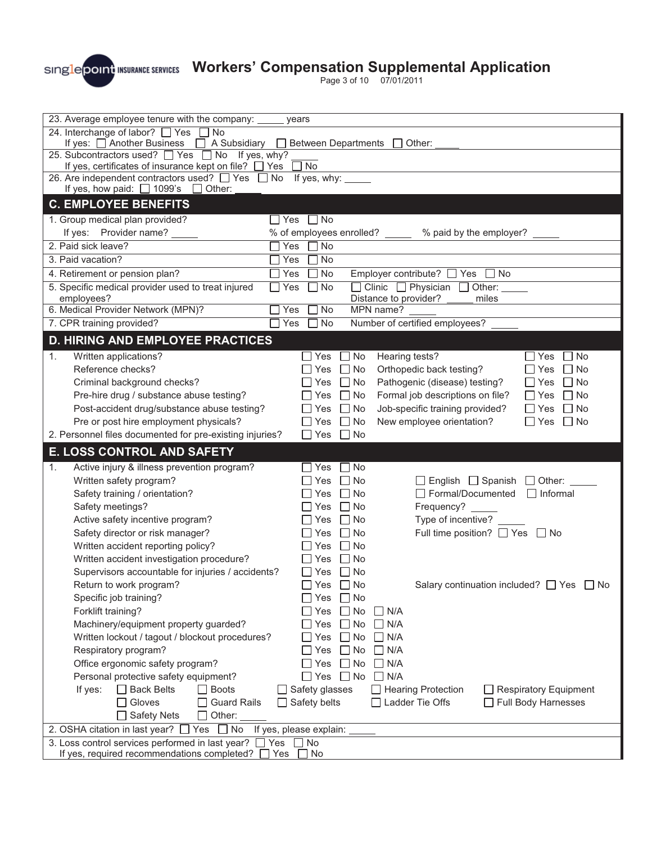

Page 3 of 10 07/01/2011

| 23. Average employee tenure with the company:                                                     | years                                                                                              |  |  |
|---------------------------------------------------------------------------------------------------|----------------------------------------------------------------------------------------------------|--|--|
| 24. Interchange of labor? □ Yes<br><b>No</b>                                                      |                                                                                                    |  |  |
| If yes: □ Another Business □ A Subsidiary □ Between Departments                                   | Other:                                                                                             |  |  |
| 25. Subcontractors used? ■ Yes ■ No If yes, why?                                                  |                                                                                                    |  |  |
| If yes, certificates of insurance kept on file? $\Box$ Yes                                        | $\Box$ No                                                                                          |  |  |
| 26. Are independent contractors used? □ Yes □ No<br>If yes, how paid: $\Box$ 1099's $\Box$ Other: | If yes, why:                                                                                       |  |  |
|                                                                                                   |                                                                                                    |  |  |
| <b>C. EMPLOYEE BENEFITS</b>                                                                       |                                                                                                    |  |  |
| 1. Group medical plan provided?                                                                   | Yes<br>$\Box$ No                                                                                   |  |  |
| If yes: Provider name?                                                                            | % of employees enrolled? _____ % paid by the employer? _                                           |  |  |
| 2. Paid sick leave?                                                                               | Yes<br>$\Box$ No                                                                                   |  |  |
| 3. Paid vacation?                                                                                 | $\Box$ No<br>Yes                                                                                   |  |  |
| 4. Retirement or pension plan?                                                                    | No<br>Yes<br>Employer contribute? $\Box$ Yes<br>$\Box$ No                                          |  |  |
| 5. Specific medical provider used to treat injured<br>employees?                                  | $\Box$ Clinic $\Box$ Physician $\Box$ Other:<br>$\Box$ No<br>Yes<br>Distance to provider?<br>miles |  |  |
| 6. Medical Provider Network (MPN)?                                                                | $\Box$ No<br>MPN name?<br>Yes                                                                      |  |  |
| 7. CPR training provided?                                                                         | Number of certified employees?<br>Yes<br>$\Box$ No                                                 |  |  |
|                                                                                                   |                                                                                                    |  |  |
| <b>D. HIRING AND EMPLOYEE PRACTICES</b>                                                           |                                                                                                    |  |  |
| Written applications?<br>1.                                                                       | Hearing tests?<br>$\Box$ Yes<br>$\Box$ No<br>$\Box$ Yes<br>No                                      |  |  |
| Reference checks?                                                                                 | Orthopedic back testing?<br>_ Yes<br>$\Box$ No<br>$\Box$ Yes<br>$\Box$ No                          |  |  |
| Criminal background checks?                                                                       | Pathogenic (disease) testing?<br>Yes<br>$\Box$ No<br>$\Box$ Yes<br>$\Box$ No                       |  |  |
| Pre-hire drug / substance abuse testing?                                                          | Formal job descriptions on file?<br>$\Box$ No<br>$\Box$ Yes<br>$\Box$ No<br>l Yes                  |  |  |
| Post-accident drug/substance abuse testing?                                                       | Job-specific training provided?<br>$\Box$ No<br>$\Box$ Yes<br>l INo<br>$\Box$ Yes                  |  |  |
| Pre or post hire employment physicals?                                                            | New employee orientation?<br>$\Box$ Yes $\Box$ No<br>$\Box$ Yes<br>$\Box$ No                       |  |  |
| 2. Personnel files documented for pre-existing injuries?                                          | $\Box$ No<br>$\Box$ Yes                                                                            |  |  |
| <b>E. LOSS CONTROL AND SAFETY</b>                                                                 |                                                                                                    |  |  |
| Active injury & illness prevention program?<br>1.                                                 | $\Box$ No<br>Yes                                                                                   |  |  |
| Written safety program?                                                                           | $\Box$ English $\Box$ Spanish $\Box$ Other:<br>$\Box$ No<br>Yes                                    |  |  |
| Safety training / orientation?                                                                    | Formal/Documented<br>$\Box$ Informal<br>$\Box$ No<br>Yes                                           |  |  |
| Safety meetings?                                                                                  | Frequency? _____<br>Yes<br>$\Box$ No                                                               |  |  |
| Active safety incentive program?                                                                  | Type of incentive?<br>$\Box$ No<br>Yes                                                             |  |  |
| Safety director or risk manager?                                                                  | Full time position? □ Yes □ No<br>$\Box$ No<br>∐ Yes                                               |  |  |
| Written accident reporting policy?                                                                | $\Box$ No<br>∐ Yes                                                                                 |  |  |
| Written accident investigation procedure?                                                         | $\Box$ No<br>l Yes                                                                                 |  |  |
| Supervisors accountable for injuries / accidents?                                                 | $\Box$ Yes<br>$\Box$ No                                                                            |  |  |
| Return to work program?                                                                           | $\square$ Yes<br>$\Box$ No<br>Salary continuation included? $\Box$ Yes $\Box$ No                   |  |  |
| Specific job training?                                                                            | Yes<br>$\Box$ No                                                                                   |  |  |
| Forklift training?                                                                                | $\Box$ N/A<br>Yes<br>No.                                                                           |  |  |
| Machinery/equipment property guarded?                                                             | $\Box$ N/A<br>Yes<br>$\Box$ No                                                                     |  |  |
| Written lockout / tagout / blockout procedures?                                                   | $\square$ No<br>$\Box$ N/A<br>Yes                                                                  |  |  |
| Respiratory program?                                                                              | $\Box$ No<br>$\Box$ N/A<br>Yes                                                                     |  |  |
| Office ergonomic safety program?                                                                  | $\Box$ No<br>N/A<br>Yes<br>$\perp$                                                                 |  |  |
| Personal protective safety equipment?                                                             | $\Box$ No<br>N/A<br>Yes<br>$\perp$                                                                 |  |  |
| □ Back Belts<br>If yes:<br>$\Box$ Boots                                                           | □ Safety glasses<br>Hearing Protection<br>$\Box$ Respiratory Equipment                             |  |  |
| Gloves<br><b>Guard Rails</b>                                                                      | $\Box$ Safety belts<br>□ Ladder Tie Offs<br><b>Full Body Harnesses</b>                             |  |  |
| □ Safety Nets<br>$\Box$ Other:                                                                    |                                                                                                    |  |  |
| 2. OSHA citation in last year?<br>No<br>Yes $\Box$                                                |                                                                                                    |  |  |
|                                                                                                   |                                                                                                    |  |  |
| 3. Loss control services performed in last year? TYes                                             | If yes, please explain:<br>$\Box$ No                                                               |  |  |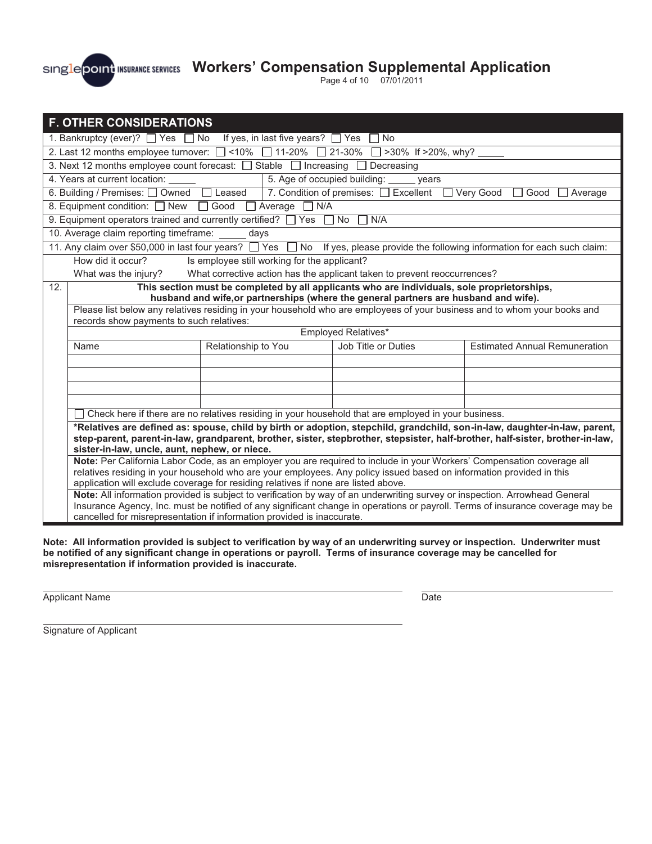Page 4 of 10 07/01/2011

|                                                                                                                                                                                                                                                                                                                                      | <b>F. OTHER CONSIDERATIONS</b>                                                                      |                                                                                                                                                                                                       |                                       |                                                                                                                                  |
|--------------------------------------------------------------------------------------------------------------------------------------------------------------------------------------------------------------------------------------------------------------------------------------------------------------------------------------|-----------------------------------------------------------------------------------------------------|-------------------------------------------------------------------------------------------------------------------------------------------------------------------------------------------------------|---------------------------------------|----------------------------------------------------------------------------------------------------------------------------------|
| 1. Bankruptcy (ever)? $\Box$ Yes $\Box$ No<br>If yes, in last five years? $\Box$ Yes<br>No                                                                                                                                                                                                                                           |                                                                                                     |                                                                                                                                                                                                       |                                       |                                                                                                                                  |
|                                                                                                                                                                                                                                                                                                                                      |                                                                                                     | 2. Last 12 months employee turnover: $\Box$ <10% $\Box$ 11-20% $\Box$ 21-30% $\Box$ >30% If >20%, why?                                                                                                |                                       |                                                                                                                                  |
|                                                                                                                                                                                                                                                                                                                                      |                                                                                                     | 3. Next 12 months employee count forecast: □ Stable □ Increasing                                                                                                                                      | $\Box$ Decreasing                     |                                                                                                                                  |
|                                                                                                                                                                                                                                                                                                                                      | 4. Years at current location: _____<br>5. Age of occupied building:<br>years                        |                                                                                                                                                                                                       |                                       |                                                                                                                                  |
|                                                                                                                                                                                                                                                                                                                                      | 6. Building / Premises: □ Owned                                                                     | $\Box$ Leased                                                                                                                                                                                         | 7. Condition of premises: C Excellent | Very Good<br>Good<br>Average                                                                                                     |
|                                                                                                                                                                                                                                                                                                                                      | 8. Equipment condition: $\Box$ New                                                                  | $\Box$ Average $\Box$ N/A<br>$\Box$ Good                                                                                                                                                              |                                       |                                                                                                                                  |
|                                                                                                                                                                                                                                                                                                                                      |                                                                                                     | 9. Equipment operators trained and currently certified? $\Box$ Yes                                                                                                                                    | No<br>N/A                             |                                                                                                                                  |
|                                                                                                                                                                                                                                                                                                                                      | 10. Average claim reporting timeframe: _                                                            | days                                                                                                                                                                                                  |                                       |                                                                                                                                  |
|                                                                                                                                                                                                                                                                                                                                      |                                                                                                     |                                                                                                                                                                                                       |                                       | 11. Any claim over \$50,000 in last four years? □ Yes □ No If yes, please provide the following information for each such claim: |
|                                                                                                                                                                                                                                                                                                                                      | How did it occur?                                                                                   | Is employee still working for the applicant?                                                                                                                                                          |                                       |                                                                                                                                  |
|                                                                                                                                                                                                                                                                                                                                      | What was the injury?                                                                                | What corrective action has the applicant taken to prevent reoccurrences?                                                                                                                              |                                       |                                                                                                                                  |
| 12.                                                                                                                                                                                                                                                                                                                                  |                                                                                                     | This section must be completed by all applicants who are individuals, sole proprietorships,<br>husband and wife, or partnerships (where the general partners are husband and wife).                   |                                       |                                                                                                                                  |
|                                                                                                                                                                                                                                                                                                                                      |                                                                                                     |                                                                                                                                                                                                       |                                       | Please list below any relatives residing in your household who are employees of your business and to whom your books and         |
|                                                                                                                                                                                                                                                                                                                                      | records show payments to such relatives:                                                            |                                                                                                                                                                                                       |                                       |                                                                                                                                  |
|                                                                                                                                                                                                                                                                                                                                      |                                                                                                     |                                                                                                                                                                                                       | Employed Relatives*                   |                                                                                                                                  |
|                                                                                                                                                                                                                                                                                                                                      | Name                                                                                                | Relationship to You                                                                                                                                                                                   | Job Title or Duties                   | <b>Estimated Annual Remuneration</b>                                                                                             |
|                                                                                                                                                                                                                                                                                                                                      |                                                                                                     |                                                                                                                                                                                                       |                                       |                                                                                                                                  |
|                                                                                                                                                                                                                                                                                                                                      |                                                                                                     |                                                                                                                                                                                                       |                                       |                                                                                                                                  |
|                                                                                                                                                                                                                                                                                                                                      |                                                                                                     |                                                                                                                                                                                                       |                                       |                                                                                                                                  |
|                                                                                                                                                                                                                                                                                                                                      |                                                                                                     |                                                                                                                                                                                                       |                                       |                                                                                                                                  |
|                                                                                                                                                                                                                                                                                                                                      | Check here if there are no relatives residing in your household that are employed in your business. |                                                                                                                                                                                                       |                                       |                                                                                                                                  |
| *Relatives are defined as: spouse, child by birth or adoption, stepchild, grandchild, son-in-law, daughter-in-law, parent,<br>step-parent, parent-in-law, grandparent, brother, sister, stepbrother, stepsister, half-brother, half-sister, brother-in-law,<br>sister-in-law, uncle, aunt, nephew, or niece.                         |                                                                                                     |                                                                                                                                                                                                       |                                       |                                                                                                                                  |
| Note: Per California Labor Code, as an employer you are required to include in your Workers' Compensation coverage all<br>relatives residing in your household who are your employees. Any policy issued based on information provided in this<br>application will exclude coverage for residing relatives if none are listed above. |                                                                                                     |                                                                                                                                                                                                       |                                       |                                                                                                                                  |
|                                                                                                                                                                                                                                                                                                                                      |                                                                                                     | Note: All information provided is subject to verification by way of an underwriting survey or inspection. Arrowhead General<br>cancelled for misrepresentation if information provided is inaccurate. |                                       | Insurance Agency, Inc. must be notified of any significant change in operations or payroll. Terms of insurance coverage may be   |

**Note: All information provided is subject to verification by way of an underwriting survey or inspection. Underwriter must be notified of any significant change in operations or payroll. Terms of insurance coverage may be cancelled for misrepresentation if information provided is inaccurate.** 

Applicant Name Date

l,

Signature of Applicant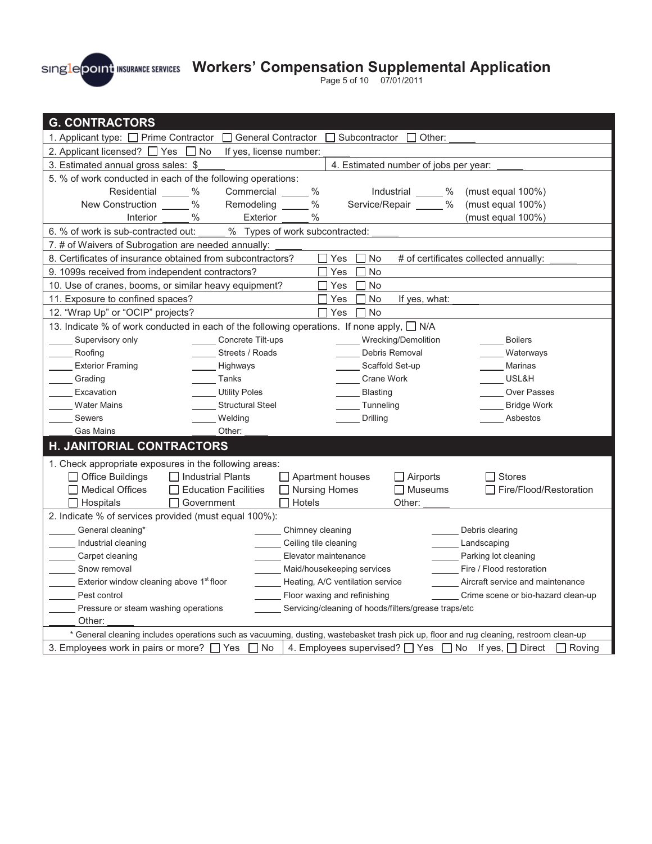Page 5 of 10 07/01/2011

| <b>G. CONTRACTORS</b>                                                                                                                   |                                                                      |  |  |  |
|-----------------------------------------------------------------------------------------------------------------------------------------|----------------------------------------------------------------------|--|--|--|
| 1. Applicant type: □ Prime Contractor                                                                                                   | General Contractor<br>Subcontractor<br>Other:                        |  |  |  |
| 2. Applicant licensed? □ Yes □ No                                                                                                       | If yes, license number:                                              |  |  |  |
| 3. Estimated annual gross sales: \$<br>4. Estimated number of jobs per year:                                                            |                                                                      |  |  |  |
| 5. % of work conducted in each of the following operations:                                                                             |                                                                      |  |  |  |
| Residential ____ %<br>Commercial                                                                                                        | $\%$<br>Industrial ______ %<br>(must equal 100%)                     |  |  |  |
| $\%$<br>New Construction<br>Remodeling ____                                                                                             | Service/Repair _____ %<br>$\frac{0}{0}$<br>(must equal 100%)         |  |  |  |
| $\%$<br>Exterior<br>Interior                                                                                                            | %<br>(must equal $100\%$ )                                           |  |  |  |
| 6. % of work is sub-contracted out:                                                                                                     | % Types of work subcontracted:                                       |  |  |  |
| 7. # of Waivers of Subrogation are needed annually:                                                                                     |                                                                      |  |  |  |
| 8. Certificates of insurance obtained from subcontractors?                                                                              | Yes<br><b>No</b><br># of certificates collected annually:            |  |  |  |
| 9. 1099s received from independent contractors?                                                                                         | <b>No</b><br>Yes                                                     |  |  |  |
| 10. Use of cranes, booms, or similar heavy equipment?                                                                                   | $\Box$ Yes<br><b>No</b>                                              |  |  |  |
| 11. Exposure to confined spaces?                                                                                                        | l IYes<br>No<br>If yes, what:                                        |  |  |  |
| 12. "Wrap Up" or "OCIP" projects?                                                                                                       | Yes<br>No                                                            |  |  |  |
| 13. Indicate % of work conducted in each of the following operations. If none apply, □ N/A                                              |                                                                      |  |  |  |
| Supervisory only<br>Concrete Tilt-ups                                                                                                   | _____ Wrecking/Demolition<br><b>Boilers</b>                          |  |  |  |
| Streets / Roads<br>Roofing                                                                                                              | Debris Removal<br>Waterways                                          |  |  |  |
| <b>Exterior Framing</b><br>Highways                                                                                                     | Scaffold Set-up<br>Marinas                                           |  |  |  |
| Grading<br>Tanks                                                                                                                        | USL&H<br><b>Crane Work</b>                                           |  |  |  |
| Excavation<br><b>Utility Poles</b>                                                                                                      | <b>Blasting</b><br><b>Over Passes</b>                                |  |  |  |
| <b>Water Mains</b><br><b>Structural Steel</b>                                                                                           | Tunneling<br><b>Bridge Work</b>                                      |  |  |  |
| Sewers<br>Welding                                                                                                                       | Drilling<br>Asbestos                                                 |  |  |  |
| <b>Gas Mains</b><br>Other:                                                                                                              |                                                                      |  |  |  |
| H. JANITORIAL CONTRACTORS                                                                                                               |                                                                      |  |  |  |
| 1. Check appropriate exposures in the following areas:                                                                                  |                                                                      |  |  |  |
| $\Box$ Office Buildings<br>  Industrial Plants                                                                                          | $\Box$ Apartment houses<br>$\Box$ Airports<br>$\Box$ Stores          |  |  |  |
| <b>Medical Offices</b><br>$\Box$ Education Facilities                                                                                   | □ Nursing Homes<br>$\Box$ Museums<br>Fire/Flood/Restoration          |  |  |  |
| Hospitals<br>  Government                                                                                                               | Hotels<br>Other:                                                     |  |  |  |
| 2. Indicate % of services provided (must equal 100%):                                                                                   |                                                                      |  |  |  |
| General cleaning*                                                                                                                       | Chimney cleaning<br>Debris clearing                                  |  |  |  |
| Industrial cleaning                                                                                                                     | Ceiling tile cleaning<br>Landscaping                                 |  |  |  |
| Carpet cleaning                                                                                                                         | Parking lot cleaning<br>Elevator maintenance                         |  |  |  |
| Snow removal                                                                                                                            | Maid/housekeeping services<br>Fire / Flood restoration               |  |  |  |
| Exterior window cleaning above 1 <sup>st</sup> floor                                                                                    | Heating, A/C ventilation service<br>Aircraft service and maintenance |  |  |  |
| Pest control                                                                                                                            | Floor waxing and refinishing<br>Crime scene or bio-hazard clean-up   |  |  |  |
| Pressure or steam washing operations                                                                                                    | Servicing/cleaning of hoods/filters/grease traps/etc                 |  |  |  |
| Other:                                                                                                                                  |                                                                      |  |  |  |
| * General cleaning includes operations such as vacuuming, dusting, wastebasket trash pick up, floor and rug cleaning, restroom clean-up |                                                                      |  |  |  |
| 3. Employees work in pairs or more? $\Box$ Yes $\Box$ No                                                                                | 4. Employees supervised? Thes T No If yes, T Direct<br>$\Box$ Roving |  |  |  |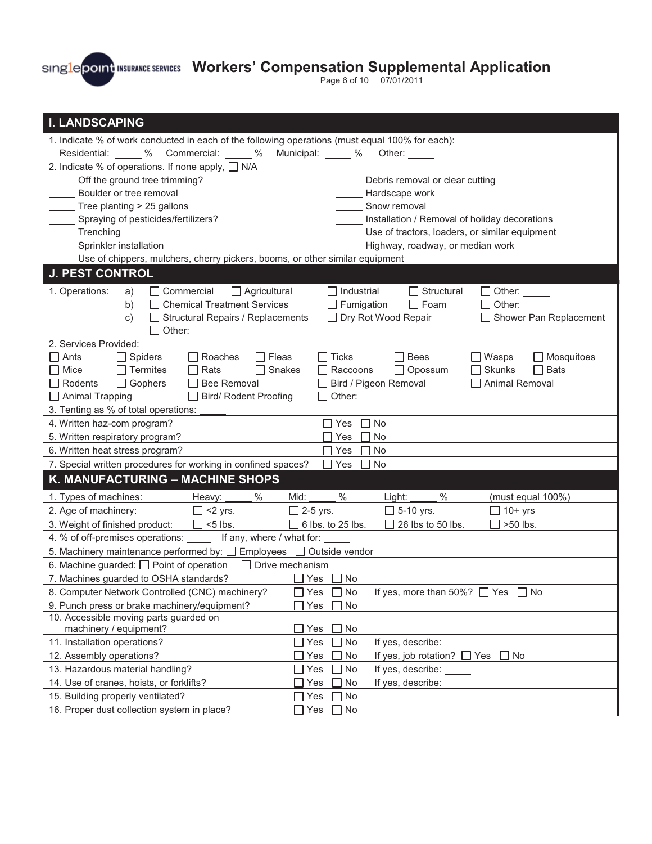Page 6 of 10 07/01/2011

| <b>I. LANDSCAPING</b>                                                                                                                    |  |  |  |  |
|------------------------------------------------------------------------------------------------------------------------------------------|--|--|--|--|
| 1. Indicate % of work conducted in each of the following operations (must equal 100% for each):                                          |  |  |  |  |
| $\%$<br>Municipal:<br>Residential:<br>Commercial:<br>$\%$<br>$\%$<br>Other:                                                              |  |  |  |  |
| 2. Indicate % of operations. If none apply, $\Box$ N/A                                                                                   |  |  |  |  |
| Off the ground tree trimming?<br>Debris removal or clear cutting                                                                         |  |  |  |  |
| Boulder or tree removal<br>Hardscape work                                                                                                |  |  |  |  |
| Tree planting > 25 gallons<br>Snow removal                                                                                               |  |  |  |  |
| Spraying of pesticides/fertilizers?<br>Installation / Removal of holiday decorations                                                     |  |  |  |  |
| Use of tractors, loaders, or similar equipment<br>Trenching                                                                              |  |  |  |  |
| Sprinkler installation<br>Highway, roadway, or median work                                                                               |  |  |  |  |
| Use of chippers, mulchers, cherry pickers, booms, or other similar equipment                                                             |  |  |  |  |
| <b>J. PEST CONTROL</b>                                                                                                                   |  |  |  |  |
| Commercial<br>$\Box$ Industrial<br>$\Box$ Structural<br>1. Operations:<br>$\Box$ Agricultural<br>$\Box$ Other: $\_\_\_\_\_\_\_\_\$<br>a) |  |  |  |  |
| <b>Chemical Treatment Services</b><br>Fumigation<br>$\Box$ Foam<br>b)<br>Other:                                                          |  |  |  |  |
| Structural Repairs / Replacements<br>Dry Rot Wood Repair<br>Shower Pan Replacement<br>C)                                                 |  |  |  |  |
| Other:                                                                                                                                   |  |  |  |  |
| 2. Services Provided:                                                                                                                    |  |  |  |  |
| $\Box$ Ants<br>$\Box$ Spiders<br>Roaches<br>$\Box$ Fleas<br>$\Box$ Ticks<br>$\Box$ Bees<br>$\Box$ Wasps<br>$\Box$ Mosquitoes             |  |  |  |  |
| $\Box$ Opossum<br>Skunks<br>$\Box$ Bats<br>Termites<br>Snakes<br>Raccoons<br>$\Box$ Mice<br>Rats                                         |  |  |  |  |
| $\Box$ Rodents<br>$\Box$ Gophers<br><b>Bee Removal</b><br>Bird / Pigeon Removal<br>Animal Removal<br>Other:                              |  |  |  |  |
| $\Box$ Animal Trapping<br><b>Bird/ Rodent Proofing</b>                                                                                   |  |  |  |  |
| 3. Tenting as % of total operations:<br>4. Written haz-com program?<br>Yes<br>No                                                         |  |  |  |  |
| 5. Written respiratory program?<br>Yes<br>No                                                                                             |  |  |  |  |
| 6. Written heat stress program?<br>Yes<br>No                                                                                             |  |  |  |  |
| 7. Special written procedures for working in confined spaces?<br>No<br>Yes                                                               |  |  |  |  |
| K. MANUFACTURING - MACHINE SHOPS                                                                                                         |  |  |  |  |
| $\%$<br>$\%$<br>1. Types of machines:<br>℅<br>(must equal 100%)<br>Mid:<br>Light:<br>Heavy:                                              |  |  |  |  |
| 2. Age of machinery:<br>$\Box$ <2 yrs.<br>$\Box$ 2-5 yrs.<br>$\Box$ 5-10 yrs.<br>$\Box$ 10+ yrs                                          |  |  |  |  |
| $\Box$ <5 lbs.<br>$\Box$ 6 lbs. to 25 lbs.<br>26 lbs to 50 lbs.<br>>50 lbs.<br>3. Weight of finished product:                            |  |  |  |  |
| 4. % of off-premises operations: _<br>If any, where / what for:                                                                          |  |  |  |  |
| 5. Machinery maintenance performed by: $\Box$ Employees $\Box$ Outside vendor                                                            |  |  |  |  |
| 6. Machine guarded: $\Box$ Point of operation<br>Drive mechanism                                                                         |  |  |  |  |
| 7. Machines guarded to OSHA standards?<br>□ Yes<br>No No                                                                                 |  |  |  |  |
| $\Box$ Yes $\Box$ No<br>If yes, more than 50%? $\Box$ Yes<br>8. Computer Network Controlled (CNC) machinery?<br>$\Box$ No                |  |  |  |  |
| 9. Punch press or brake machinery/equipment?<br>No<br>Yes                                                                                |  |  |  |  |
| 10. Accessible moving parts guarded on<br>machinery / equipment?<br>No                                                                   |  |  |  |  |
| Yes<br>11. Installation operations?<br>Yes<br>No<br>If yes, describe:                                                                    |  |  |  |  |
| 12. Assembly operations?<br>If yes, job rotation?<br>Yes<br>No<br>No<br>Yes                                                              |  |  |  |  |
| 13. Hazardous material handling?<br>Yes<br>No<br>If yes, describe:                                                                       |  |  |  |  |
|                                                                                                                                          |  |  |  |  |
|                                                                                                                                          |  |  |  |  |
| 14. Use of cranes, hoists, or forklifts?<br>No<br>If yes, describe:<br>Yes<br>15. Building properly ventilated?<br>Yes<br>No             |  |  |  |  |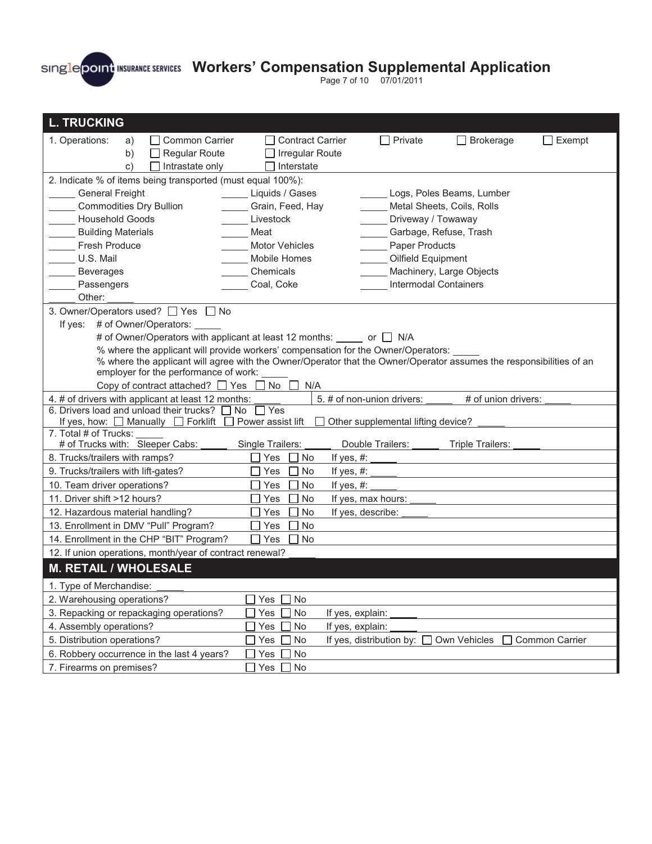

Page 7 of 10 07/01/2011

| <b>L. TRUCKING</b>                                                                                                                                                                            |                         |                              |                            |                |
|-----------------------------------------------------------------------------------------------------------------------------------------------------------------------------------------------|-------------------------|------------------------------|----------------------------|----------------|
| □ Common Carrier<br>1. Operations:<br>a)                                                                                                                                                      | <b>Contract Carrier</b> | $\Box$ Private               | $\Box$ Brokerage           | $\Box$ Exempt  |
| $\Box$ Regular Route<br>b)                                                                                                                                                                    | Irregular Route         |                              |                            |                |
| $\mathsf{C}$ )<br>Intrastate only                                                                                                                                                             | Interstate              |                              |                            |                |
| 2. Indicate % of items being transported (must equal 100%):                                                                                                                                   |                         |                              |                            |                |
| <b>General Freight</b>                                                                                                                                                                        | Liquids / Gases         |                              | Logs, Poles Beams, Lumber  |                |
| <b>Commodities Dry Bullion</b>                                                                                                                                                                | Grain, Feed, Hay        |                              | Metal Sheets, Coils, Rolls |                |
| <b>Household Goods</b>                                                                                                                                                                        | Livestock               | Driveway / Towaway           |                            |                |
| <b>Building Materials</b>                                                                                                                                                                     | Meat                    | Garbage, Refuse, Trash       |                            |                |
| <b>Fresh Produce</b>                                                                                                                                                                          | <b>Motor Vehicles</b>   | Paper Products               |                            |                |
| U.S. Mail                                                                                                                                                                                     | Mobile Homes            | Oilfield Equipment           |                            |                |
| <b>Beverages</b><br>Passengers                                                                                                                                                                | Chemicals<br>Coal, Coke | <b>Intermodal Containers</b> | Machinery, Large Objects   |                |
| Other:                                                                                                                                                                                        |                         |                              |                            |                |
| 3. Owner/Operators used? □ Yes □ No                                                                                                                                                           |                         |                              |                            |                |
| If yes: # of Owner/Operators:                                                                                                                                                                 |                         |                              |                            |                |
| # of Owner/Operators with applicant at least 12 months: ______ or ___ N/A                                                                                                                     |                         |                              |                            |                |
| % where the applicant will provide workers' compensation for the Owner/Operators:                                                                                                             |                         |                              |                            |                |
| % where the applicant will agree with the Owner/Operator that the Owner/Operator assumes the responsibilities of an                                                                           |                         |                              |                            |                |
| employer for the performance of work:                                                                                                                                                         |                         |                              |                            |                |
| Copy of contract attached? $\Box$ Yes                                                                                                                                                         | No<br>N/A               |                              |                            |                |
| # of union drivers:<br>4. # of drivers with applicant at least 12 months:<br>5. # of non-union drivers:                                                                                       |                         |                              |                            |                |
| 6. Drivers load and unload their trucks? $\Box$ No<br>$\overline{\Box}$ Yes<br>If yes, how: $\Box$ Manually $\Box$ Forklift<br>$\Box$ Power assist lift<br>Other supplemental lifting device? |                         |                              |                            |                |
| 7. Total # of Trucks:                                                                                                                                                                         |                         |                              |                            |                |
| # of Trucks with: Sleeper Cabs:                                                                                                                                                               | Single Trailers:        | Double Trailers:             | Triple Trailers:           |                |
| 8. Trucks/trailers with ramps?                                                                                                                                                                | Yes<br>No               | If yes, #:                   |                            |                |
| 9. Trucks/trailers with lift-gates?                                                                                                                                                           | No<br>Yes               | If yes, $#$ :                |                            |                |
| 10. Team driver operations?                                                                                                                                                                   | No<br>Yes               | If yes, $#$ :                |                            |                |
| 11. Driver shift >12 hours?                                                                                                                                                                   | No<br>Yes               | If yes, max hours:           |                            |                |
| 12. Hazardous material handling?                                                                                                                                                              | No<br>Yes               | If yes, describe:            |                            |                |
| 13. Enrollment in DMV "Pull" Program?                                                                                                                                                         | No<br>Yes               |                              |                            |                |
| 14. Enrollment in the CHP "BIT" Program?<br>No<br>Yes                                                                                                                                         |                         |                              |                            |                |
| 12. If union operations, month/year of contract renewal?                                                                                                                                      |                         |                              |                            |                |
| <b>M. RETAIL / WHOLESALE</b>                                                                                                                                                                  |                         |                              |                            |                |
| 1. Type of Merchandise:                                                                                                                                                                       |                         |                              |                            |                |
| 2. Warehousing operations?                                                                                                                                                                    | No<br>Yes               |                              |                            |                |
| 3. Repacking or repackaging operations?                                                                                                                                                       | No<br>Yes               | If yes, explain:             |                            |                |
| 4. Assembly operations?                                                                                                                                                                       | Yes<br>No               | If yes, explain:             |                            |                |
| 5. Distribution operations?                                                                                                                                                                   | Yes<br>No               | If yes, distribution by:     | Own Vehicles               | Common Carrier |
| 6. Robbery occurrence in the last 4 years?                                                                                                                                                    | No<br>Yes               |                              |                            |                |
| 7. Firearms on premises?                                                                                                                                                                      | Yes  <br>No             |                              |                            |                |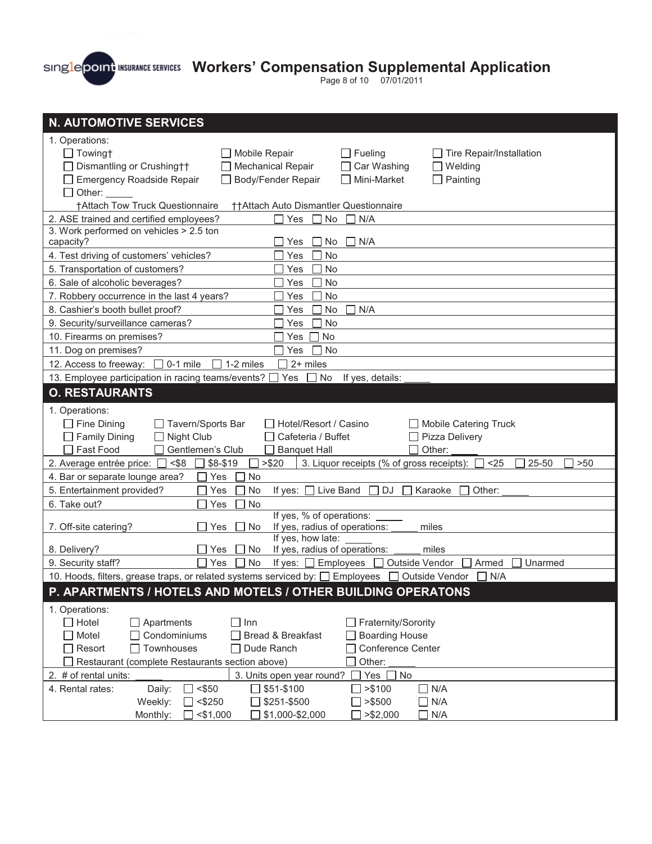Page 8 of 10 07/01/2011

| <b>N. AUTOMOTIVE SERVICES</b>                                                                                                                             |
|-----------------------------------------------------------------------------------------------------------------------------------------------------------|
| 1. Operations:                                                                                                                                            |
| $\Box$ Fueling<br>$\Box$ Towingt<br>Mobile Repair<br>Tire Repair/Installation                                                                             |
| Mechanical Repair<br>Car Washing<br>Dismantling or Crushing††<br>Welding<br>$\mathsf{L}$                                                                  |
| Body/Fender Repair<br>Mini-Market<br><b>Emergency Roadside Repair</b><br>Painting<br>$\mathsf{L}$<br>$\mathsf{L}$                                         |
| Other:                                                                                                                                                    |
| †Attach Tow Truck Questionnaire<br>††Attach Auto Dismantler Questionnaire                                                                                 |
| 2. ASE trained and certified employees?<br>Yes<br>N/A<br>No                                                                                               |
| 3. Work performed on vehicles > 2.5 ton                                                                                                                   |
| capacity?<br>Yes<br>No<br>N/A                                                                                                                             |
| 4. Test driving of customers' vehicles?<br><b>No</b><br>Yes                                                                                               |
| 5. Transportation of customers?<br><b>No</b><br>Yes                                                                                                       |
| 6. Sale of alcoholic beverages?<br>No<br>Yes                                                                                                              |
| 7. Robbery occurrence in the last 4 years?<br><b>No</b><br>Yes                                                                                            |
| 8. Cashier's booth bullet proof?<br>N/A<br>Yes<br>No                                                                                                      |
| 9. Security/surveillance cameras?<br><b>No</b><br>Yes                                                                                                     |
| No<br>10. Firearms on premises?<br>Yes                                                                                                                    |
| 11. Dog on premises?<br>Yes<br><b>No</b>                                                                                                                  |
| 2+ miles<br>12. Access to freeway:<br>$\Box$ 0-1 mile<br>$\Box$ 1-2 miles                                                                                 |
| 13. Employee participation in racing teams/events?<br>Yes<br>No If yes, details:                                                                          |
| <b>O. RESTAURANTS</b>                                                                                                                                     |
| 1. Operations:                                                                                                                                            |
| $\Box$ Fine Dining<br>Hotel/Resort / Casino<br><b>Mobile Catering Truck</b><br>Tavern/Sports Bar                                                          |
| $\Box$ Family Dining<br>Night Club<br>Pizza Delivery<br>Cafeteria / Buffet<br>$\Box$                                                                      |
| Gentlemen's Club<br>Fast Food<br><b>Banquet Hall</b><br>Other:                                                                                            |
| 2. Average entrée price: □ <\$8<br>3. Liquor receipts (% of gross receipts): $\Box$ <25<br>$$8-$19$<br>> \$20<br>>50<br>L<br>25-50                        |
|                                                                                                                                                           |
| 4. Bar or separate lounge area?<br><b>No</b><br>Yes                                                                                                       |
| 5. Entertainment provided?<br>Yes<br>No<br>If yes:<br>Live Band<br>DJ<br>Karaoke<br>Other:                                                                |
| 6. Take out?<br>Yes<br><b>No</b>                                                                                                                          |
| If yes, % of operations:                                                                                                                                  |
| If yes, radius of operations:<br>7. Off-site catering?<br>Yes<br>No<br>miles                                                                              |
| If yes, how late:                                                                                                                                         |
| If yes, radius of operations:<br>8. Delivery?<br>Yes<br>No<br>miles                                                                                       |
| Outside Vendor<br>9. Security staff?<br>Yes<br><b>No</b><br>If yes: $\Box$ Employees<br>Armed<br>Unarmed                                                  |
| 10. Hoods, filters, grease traps, or related systems serviced by: $\Box$ Employees $\Box$ Outside Vendor<br>N/A<br>$\Box$                                 |
| P. APARTMENTS / HOTELS AND MOTELS / OTHER BUILDING OPERATONS                                                                                              |
| 1. Operations:                                                                                                                                            |
| $\Box$ Hotel<br>Apartments<br>$\Box$ Inn<br>Fraternity/Sorority                                                                                           |
| Motel<br>Condominiums<br>Bread & Breakfast<br><b>Boarding House</b><br>Townhouses                                                                         |
| $\Box$ Resort<br>Dude Ranch<br>Conference Center<br>Other:<br>Restaurant (complete Restaurants section above)                                             |
| $\Box$ No                                                                                                                                                 |
| 2. # of rental units:<br>3. Units open year round?<br>Yes [<br>$<$ \$50<br>4. Rental rates:<br>$\Box$ >\$100<br>$\Box$ N/A<br>Daily:<br>$\sqrt{551-5100}$ |
| Weekly:<br>\$251-\$500<br>$\Box$ >\$500<br>$\Box$ N/A<br>$<$ \$250                                                                                        |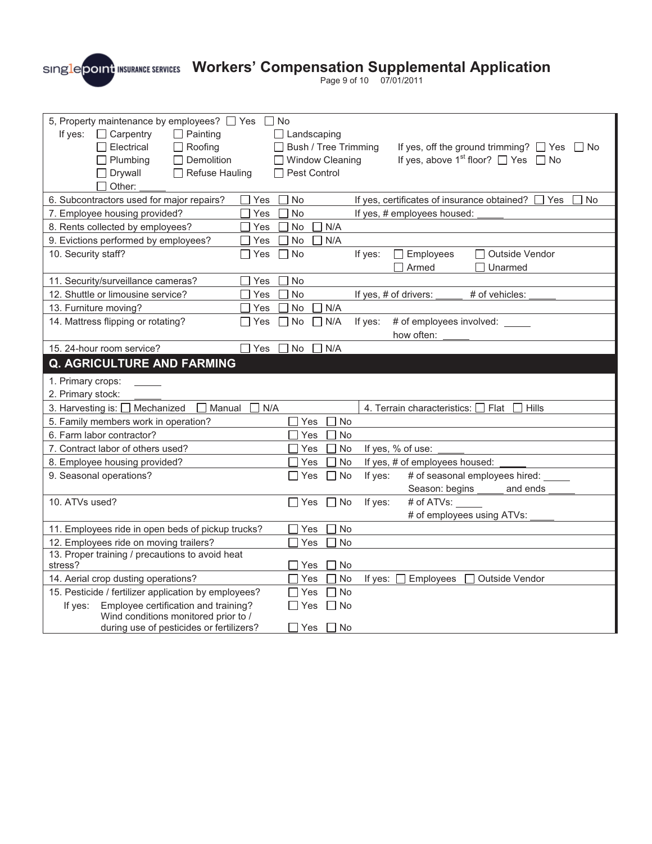Page 9 of 10 07/01/2011

| 5, Property maintenance by employees? T Yes No                                          |                                                                                     |  |  |  |  |
|-----------------------------------------------------------------------------------------|-------------------------------------------------------------------------------------|--|--|--|--|
| If yes:<br>$\Box$ Carpentry<br>$\Box$ Painting                                          | Landscaping                                                                         |  |  |  |  |
| Electrical<br>Roofing                                                                   | $\Box$ Bush / Tree Trimming<br>If yes, off the ground trimming? □ Yes □ No          |  |  |  |  |
| Demolition<br>$\Box$ Plumbing                                                           | If yes, above 1 <sup>st</sup> floor? $\Box$ Yes $\Box$ No<br>□ Window Cleaning      |  |  |  |  |
| $\Box$ Drywall<br><b>Refuse Hauling</b>                                                 | □ Pest Control                                                                      |  |  |  |  |
| Other:                                                                                  |                                                                                     |  |  |  |  |
| 6. Subcontractors used for major repairs?                                               | $\Box$ No<br>If yes, certificates of insurance obtained?<br><b>No</b><br>Yes<br>Yes |  |  |  |  |
| 7. Employee housing provided?                                                           | Yes<br><b>No</b><br>If yes, # employees housed:                                     |  |  |  |  |
| 8. Rents collected by employees?                                                        | Yes<br>No<br>N/A                                                                    |  |  |  |  |
| 9. Evictions performed by employees?                                                    | No<br>N/A<br>Yes<br>ΙI                                                              |  |  |  |  |
| 10. Security staff?                                                                     | $\Box$ Employees<br>Outside Vendor<br>Yes<br><b>No</b><br>$\Box$<br>If yes:<br>ΙI   |  |  |  |  |
|                                                                                         | Armed<br>Unarmed                                                                    |  |  |  |  |
| 11. Security/surveillance cameras?                                                      | Yes<br>No                                                                           |  |  |  |  |
| 12. Shuttle or limousine service?                                                       | Yes<br><b>No</b><br>If yes, # of drivers:<br># of vehicles:                         |  |  |  |  |
| 13. Furniture moving?                                                                   | N/A<br>Yes<br>No                                                                    |  |  |  |  |
| 14. Mattress flipping or rotating?                                                      | No<br># of employees involved: _____<br>Yes<br>$\Box$ N/A<br>If yes:<br>$\Box$      |  |  |  |  |
|                                                                                         | how often:                                                                          |  |  |  |  |
| 15. 24-hour room service?                                                               | $\Box$ Yes<br>No<br>N/A                                                             |  |  |  |  |
| <b>Q. AGRICULTURE AND FARMING</b>                                                       |                                                                                     |  |  |  |  |
|                                                                                         |                                                                                     |  |  |  |  |
| 1. Primary crops:                                                                       |                                                                                     |  |  |  |  |
| 2. Primary stock:                                                                       |                                                                                     |  |  |  |  |
| 3. Harvesting is: □ Mechanized<br>Manual                                                | N/A<br>4. Terrain characteristics: [ Flat<br>Hills                                  |  |  |  |  |
| 5. Family members work in operation?                                                    | No<br>Yes                                                                           |  |  |  |  |
| 6. Farm labor contractor?                                                               | Yes<br>No                                                                           |  |  |  |  |
| 7. Contract labor of others used?                                                       | If yes, % of use:<br>Yes<br>No                                                      |  |  |  |  |
| 8. Employee housing provided?                                                           | No<br>Yes<br>If yes, # of employees housed:                                         |  |  |  |  |
| 9. Seasonal operations?                                                                 | No<br>If yes:<br># of seasonal employees hired:<br>Yes                              |  |  |  |  |
|                                                                                         | Season: begins<br>and ends                                                          |  |  |  |  |
| 10. ATVs used?                                                                          | If yes:<br># of ATVs:<br>Yes<br>No                                                  |  |  |  |  |
|                                                                                         | # of employees using ATVs:                                                          |  |  |  |  |
| 11. Employees ride in open beds of pickup trucks?                                       | Yes<br>No                                                                           |  |  |  |  |
| 12. Employees ride on moving trailers?                                                  | <b>No</b><br>Yes                                                                    |  |  |  |  |
| 13. Proper training / precautions to avoid heat                                         |                                                                                     |  |  |  |  |
| stress?                                                                                 | Yes<br>No                                                                           |  |  |  |  |
| 14. Aerial crop dusting operations?                                                     | No<br>Yes<br>If yes:<br>Employees<br>Outside Vendor                                 |  |  |  |  |
| 15. Pesticide / fertilizer application by employees?                                    | <b>No</b><br>Yes                                                                    |  |  |  |  |
| Employee certification and training?<br>If yes:<br>Wind conditions monitored prior to / | ∏ No<br>Yes                                                                         |  |  |  |  |